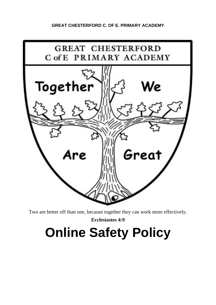# **GREAT CHESTERFORD C. OF E. PRIMARY ACADEMY**



Two are better off than one, because together they can work more effectively.

**Ecclesiastes 4:9**

# **Online Safety Policy**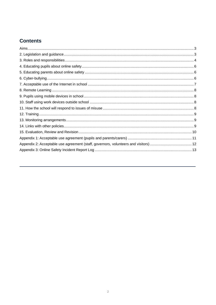# **Contents**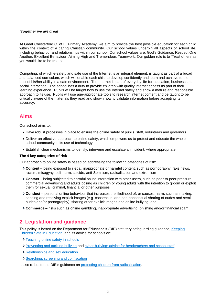#### *'Together we are great'*

At Great Chesterford C. of E. Primary Academy, we aim to provide the best possible education for each child within the context of a caring Christian community. Our school values underpin all aspects of school life, including behaviour and relationships within our school. Our school values are: God's Guidance, Respect One Another, Excellent Behaviour, Aiming High and Tremendous Teamwork. Our golden rule is to 'Treat others as you would like to be treated.'

Computing, of which e-safety and safe use of the Internet is an integral element, is taught as part of a broad and balanced curriculum, which will enable each child to develop confidently and learn and achieve to the best of his/her ability in a safe environment. The Internet is part of everyday life for education, business and social interaction. The school has a duty to provide children with quality internet access as part of their learning experience. Pupils will be taught how to use the Internet safely and show a mature and responsible approach to its use. Pupils will use age-appropriate tools to research internet content and be taught to be critically aware of the materials they read and shown how to validate information before accepting its accuracy.

# **Aims**

.

Our school aims to:

- Have robust processes in place to ensure the online safety of pupils, staff, volunteers and governors
- Deliver an effective approach to online safety, which empowers us to protect and educate the whole school community in its use of technology.
- Establish clear mechanisms to identify, intervene and escalate an incident, where appropriate

#### **The 4 key categories of risk**

Our approach to online safety is based on addressing the following categories of risk:

- **Content** being exposed to illegal, inappropriate or harmful content, such as pornography, fake news, racism, misogyny, self-harm, suicide, anti-Semitism, radicalisation and extremism
- **Contact** being subjected to harmful online interaction with other users, such as peer-to-peer pressure, commercial advertising and adults posing as children or young adults with the intention to groom or exploit them for sexual, criminal, financial or other purposes
- **Conduct** personal online behaviour that increases the likelihood of, or causes, harm, such as making, sending and receiving explicit images (e.g. consensual and non-consensual sharing of nudes and seminudes and/or pornography), sharing other explicit images and online bullying; and
- **Commerce** risks such as online gambling, inappropriate advertising, phishing and/or financial scam

# **2. Legislation and guidance**

This policy is based on the Department for Education's (DfE) statutory safeguarding guidance, [Keeping](https://www.gov.uk/government/publications/keeping-children-safe-in-education--2)  [Children Safe in Education,](https://www.gov.uk/government/publications/keeping-children-safe-in-education--2) and its advice for schools on:

- > [Teaching online safety in schools](https://www.gov.uk/government/publications/teaching-online-safety-in-schools)
- [Preventing and tackling bullying](https://www.gov.uk/government/publications/preventing-and-tackling-bullying) and [cyber-bullying: advice for headteachers and school staff](https://www.gov.uk/government/publications/preventing-and-tackling-bullying)
- > [Relationships and sex education](https://www.gov.uk/government/publications/relationships-education-relationships-and-sex-education-rse-and-health-education)
- > [Searching, screening and confiscation](https://www.gov.uk/government/publications/searching-screening-and-confiscation)

It also refers to the DfE's quidance on [protecting children from radicalisation.](https://www.gov.uk/government/publications/protecting-children-from-radicalisation-the-prevent-duty)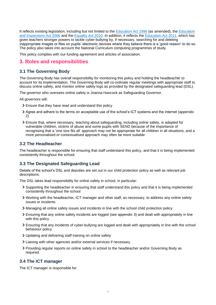It reflects existing legislation, including but not limited to the [Education Act 1996](https://www.legislation.gov.uk/ukpga/1996/56/contents) (as amended), the [Education](https://www.legislation.gov.uk/ukpga/2006/40/contents)  [and Inspections Act 2006](https://www.legislation.gov.uk/ukpga/2006/40/contents) and the [Equality Act 2010.](https://www.legislation.gov.uk/ukpga/2010/15/contents) In addition, it reflects the [Education Act 2011,](http://www.legislation.gov.uk/ukpga/2011/21/contents/enacted) which has given teachers stronger powers to tackle cyber-bullying by, if necessary, searching for and deleting inappropriate images or files on pupils' electronic devices where they believe there is a 'good reason' to do so. The policy also takes into account the National Curriculum computing programmes of study.

This policy complies with our funding agreement and articles of association.

## **3. Roles and responsibilities**

#### **3.1 The Governing Body**

The Governing Body has overall responsibility for monitoring this policy and holding the headteacher to account for its implementation. The Governing Body will co-ordinate regular meetings with appropriate staff to discuss online safety, and monitor online safety logs as provided by the designated safeguarding lead (DSL).

The governor who oversees online safety is Joanna Hancock as Safeguarding Governor.

All governors will:

- Ensure that they have read and understand this policy
- Agree and adhere to the terms on acceptable use of the school's ICT systems and the internet (appendix 2)
- Ensure that, where necessary, teaching about safeguarding, including online safety, is adapted for vulnerable children, victims of abuse and some pupils with SEND because of the importance of recognising that a 'one size fits all' approach may not be appropriate for all children in all situations, and a more personalised or contextualised approach may often be more suitable

#### **3.2 The Headteacher**

The headteacher is responsible for ensuring that staff understand this policy, and that it is being implemented consistently throughout the school.

## **3.3 The Designated Safeguarding Lead**

Details of the school's DSL and deputies are set out in our child protection policy as well as relevant job descriptions.

The DSL takes lead responsibility for online safety in school, in particular:

- Supporting the headteacher in ensuring that staff understand this policy and that it is being implemented consistently throughout the school
- Working with the headteacher, ICT manager and other staff, as necessary, to address any online safety issues or incidents
- Managing all online safety issues and incidents in line with the school child protection policy
- Ensuring that any online safety incidents are logged (see appendix 3) and dealt with appropriately in line with this policy
- Ensuring that any incidents of cyber-bullying are logged and dealt with appropriately in line with the school behaviour policy
- Updating and delivering staff training on online safety
- Liaising with other agencies and/or external services if necessary
- Providing regular reports on online safety in school to the headteacher and/or Governing Body as required.

#### **3.4 The ICT manager**

The ICT manager is responsible for: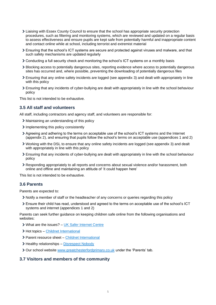- Liaising with Essex County Council to ensure that the school has appropriate security protection procedures, such as filtering and monitoring systems, which are reviewed and updated on a regular basis to assess effectiveness and ensure pupils are kept safe from potentially harmful and inappropriate content and contact online while at school, including terrorist and extremist material
- Ensuring that the school's ICT systems are secure and protected against viruses and malware, and that such safety mechanisms are updated regularly
- Conducting a full security check and monitoring the school's ICT systems on a monthly basis
- Blocking access to potentially dangerous sites, reporting evidence where access to potentially dangerous sites has occurred and, where possible, preventing the downloading of potentially dangerous files
- Ensuring that any online safety incidents are logged (see appendix 3) and dealt with appropriately in line with this policy
- Ensuring that any incidents of cyber-bullying are dealt with appropriately in line with the school behaviour policy

This list is not intended to be exhaustive.

#### **3.5 All staff and volunteers**

All staff, including contractors and agency staff, and volunteers are responsible for:

- Maintaining an understanding of this policy
- Implementing this policy consistently
- Agreeing and adhering to the terms on acceptable use of the school's ICT systems and the Internet (appendix 2), and ensuring that pupils follow the school's terms on acceptable use (appendices 1 and 2)
- Working with the DSL to ensure that any online safety incidents are logged (see appendix 3) and dealt with appropriately in line with this policy
- Ensuring that any incidents of cyber-bullying are dealt with appropriately in line with the school behaviour policy
- Responding appropriately to all reports and concerns about sexual violence and/or harassment, both online and offline and maintaining an attitude of 'it could happen here'

This list is not intended to be exhaustive.

#### **3.6 Parents**

Parents are expected to:

- Notify a member of staff or the headteacher of any concerns or queries regarding this policy
- Ensure their child has read, understood and agreed to the terms on acceptable use of the school's ICT systems and internet (appendices 1 and 2)

Parents can seek further guidance on keeping children safe online from the following organisations and websites:

- What are the issues? [UK Safer Internet Centre](https://www.saferinternet.org.uk/advice-centre/parents-and-carers/what-are-issues)
- > Hot topics [Childnet International](http://www.childnet.com/parents-and-carers/hot-topics)
- Parent resource sheet [Childnet International](https://www.childnet.com/resources/parents-and-carers-resource-sheet)
- > Healthy relationships [Disrespect Nobody](https://www.disrespectnobody.co.uk/)
- Our school website [www.greatchesterfordprimary.co.uk](http://www.greatchesterfordprimary.co.uk/) under the 'Parents' tab.

#### **3.7 Visitors and members of the community**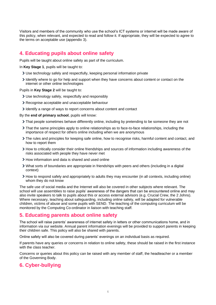Visitors and members of the community who use the school's ICT systems or internet will be made aware of this policy, when relevant, and expected to read and follow it. If appropriate, they will be expected to agree to the terms on acceptable use (appendix 3).

# **4. Educating pupils about online safety**

Pupils will be taught about online safety as part of the curriculum.

In **Key Stage 1**, pupils will be taught to:

- Use technology safely and respectfully, keeping personal information private
- Identify where to go for help and support when they have concerns about content or contact on the internet or other online technologies

Pupils in **Key Stage 2** will be taught to:

- Use technology safely, respectfully and responsibly
- Recognise acceptable and unacceptable behaviour
- I dentify a range of ways to report concerns about content and contact

By the **end of primary school**, pupils will know:

- That people sometimes behave differently online, including by pretending to be someone they are not
- That the same principles apply to online relationships as to face-to-face relationships, including the importance of respect for others online including when we are anonymous
- The rules and principles for keeping safe online, how to recognise risks, harmful content and contact, and how to report them
- How to critically consider their online friendships and sources of information including awareness of the risks associated with people they have never met
- > How information and data is shared and used online
- What sorts of boundaries are appropriate in friendships with peers and others (including in a digital context)
- How to respond safely and appropriately to adults they may encounter (in all contexts, including online) whom they do not know

The safe use of social media and the Internet will also be covered in other subjects where relevant. The school will use assemblies to raise pupils' awareness of the dangers that can be encountered online and may also invite speakers to talk to pupils about this or access external advisors (e.g. Crucial Crew, the 2 Johns). Where necessary, teaching about safeguarding, including online safety, will be adapted for vulnerable children, victims of abuse and some pupils with SEND. The teaching of the computing curriculum will be monitored by the Computing Co-ordinator in liaison with teaching staff.

# **5. Educating parents about online safety**

The school will raise parents' awareness of internet safety in letters or other communications home, and in information via our website. Annual parent information evenings will be provided to support parents in keeping their children safe. This policy will also be shared with parents.

Online safety will also be covered during parents' evenings on an individual basis as required.

If parents have any queries or concerns in relation to online safety, these should be raised in the first instance with the class teacher.

Concerns or queries about this policy can be raised with any member of staff, the headteacher or a member of the Governing Body.

# **6. Cyber-bullying**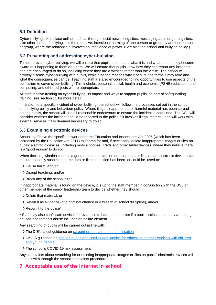#### **6.1 Definition**

Cyber-bullying takes place online, such as through social networking sites, messaging apps or gaming sites. Like other forms of bullying, it is the repetitive, intentional harming of one person or group by another person or group, where the relationship involves an imbalance of power. (See also the school anti-bullying policy.)

#### **6.2 Preventing and addressing cyber-bullying**

To help prevent cyber-bullying, we will ensure that pupils understand what it is and what to do if they become aware of it happening to them or others. We will ensure that pupils know how they can report any incidents and are encouraged to do so, including where they are a witness rather than the victim. The school will actively discuss cyber-bullying with pupils, explaining the reasons why it occurs, the forms it may take and what the consequences can be. Teaching staff are also encouraged to find opportunities to use aspects of the curriculum to cover cyber-bullying. This includes personal, social, health and economic (PSHE) education and computing, and other subjects where appropriate.

All staff receive training on cyber-bullying, its impact and ways to support pupils, as part of safeguarding training (see section 11 for more detail).

In relation to a specific incident of cyber-bullying, the school will follow the processes set out in the school anti-bullying policy and behaviour policy. Where illegal, inappropriate or harmful material has been spread among pupils, the school will use all reasonable endeavours to ensure the incident is contained. The DSL will consider whether the incident should be reported to the police if it involves illegal material, and will work with external services if it is deemed necessary to do so.

#### **6.3 Examining electronic devices**

School staff have the specific power under the Education and Inspections Act 2006 (which has been increased by the Education Act 2011) to search for and, if necessary, delete inappropriate images or files on pupils' electronic devices, including mobile phones, iPads and other tablet devices, where they believe there is a 'good reason' to do so.

When deciding whether there is a good reason to examine or erase data or files on an electronic device, staff must reasonably suspect that the data or file in question has been, or could be, used to:

- Cause harm, and/or
- > Disrupt teaching, and/or
- > Break any of the school rules

If inappropriate material is found on the device, it is up to the staff member in conjunction with the DSL or other member of the senior leadership team to decide whether they should:

- > Delete that material, or
- Retain it as evidence (of a criminal offence or a breach of school discipline), and/or
- > Report it to the police\*

\* Staff may also confiscate devices for evidence to hand to the police if a pupil discloses that they are being abused and that this abuse includes an online element.

Any searching of pupils will be carried out in line with:

- > The DfE's latest guidance on [screening, searching and confiscation](https://www.gov.uk/government/publications/searching-screening-and-confiscation)
- UKCIS guidance on [sharing nudes and semi-nudes: advice for education settings working with children](https://www.gov.uk/government/publications/sharing-nudes-and-semi-nudes-advice-for-education-settings-working-with-children-and-young-people)  [and young people](https://www.gov.uk/government/publications/sharing-nudes-and-semi-nudes-advice-for-education-settings-working-with-children-and-young-people)
- > The school's COVID-19 risk assessment

Any complaints about searching for or deleting inappropriate images or files on pupils' electronic devices will be dealt with through the school complaints procedure.

## **7. Acceptable use of the Internet in school**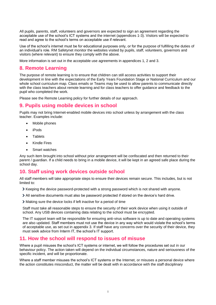All pupils, parents, staff, volunteers and governors are expected to sign an agreement regarding the acceptable use of the school's ICT systems and the internet (appendices 1-3). Visitors will be expected to read and agree to the school's terms on acceptable use if relevant.

Use of the school's internet must be for educational purposes only, or for the purpose of fulfilling the duties of an individual's role. RM Safetynet monitor the websites visited by pupils, staff, volunteers, governors and visitors (where relevant) to ensure they comply with the above.

More information is set out in the acceptable use agreements in appendices 1, 2 and 3.

# **8. Remote Learning**

The purpose of remote learning is to ensure that children can still access activities to support their development in line with the expectations of the Early Years Foundation Stage or National Curriculum and our whole school curriculum map. Class emails or Teams may be used to allow parents to communicate directly with the class teachers about remote learning and for class teachers to offer guidance and feedback to the pupil who completed the work.

Please see the Remote Learning policy for further details of our approach.

#### **9. Pupils using mobile devices in school**

Pupils may not bring Internet-enabled mobile devices into school unless by arrangement with the class teacher. Examples include:

- Mobile phones
- iPods
- **Tablets**
- Kindle Fires
- Smart watches

Any such item brought into school without prior arrangement will be confiscated and then returned to their parent / guardian. If a child needs to bring in a mobile device, it will be kept in an agreed safe place during the school day.

## **10. Staff using work devices outside school**

All staff members will take appropriate steps to ensure their devices remain secure. This includes, but is not limited to:

Keeping the device password-protected with a strong password which is not shared with anyone.

All sensitive documents must also be password protected if stored on the device's hard drive.

Making sure the device locks if left inactive for a period of time

Staff must take all reasonable steps to ensure the security of their work device when using it outside of school. Any USB devices containing data relating to the school must be encrypted.

The IT support team will be responsible for ensuring anti-virus software is up to date and operating systems are also updated. Staff members must not use the device in any way which would violate the school's terms of acceptable use, as set out in appendix 3. If staff have any concerns over the security of their device, they must seek advice from Interm IT, the school's IT support.

#### **11. How the school will respond to issues of misuse**

Where a pupil misuses the school's ICT systems or internet, we will follow the procedures set out in our behaviour policy. The action taken will depend on the individual circumstances, nature and seriousness of the specific incident, and will be proportionate.

Where a staff member misuses the school's ICT systems or the Internet, or misuses a personal device where the action constitutes misconduct, the matter will be dealt with in accordance with the staff disciplinary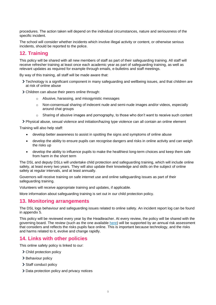procedures. The action taken will depend on the individual circumstances, nature and seriousness of the specific incident.

The school will consider whether incidents which involve illegal activity or content, or otherwise serious incidents, should be reported to the police.

# **12. Training**

This policy will be shared with all new members of staff as part of their safeguarding training. All staff will receive refresher training at least once each academic year as part of safeguarding training, as well as relevant updates as required for example through emails, e-bulletins and staff meetings.

By way of this training, all staff will be made aware that:

- Technology is a significant component in many safeguarding and wellbeing issues, and that children are at risk of online abuse
- Children can abuse their peers online through:
	- o Abusive, harassing, and misogynistic messages
	- o Non-consensual sharing of indecent nude and semi-nude images and/or videos, especially around chat groups
	- $\circ$  Sharing of abusive images and pornography, to those who don't want to receive such content
- Physical abuse, sexual violence and initiation/hazing type violence can all contain an online element

Training will also help staff:

- develop better awareness to assist in spotting the signs and symptoms of online abuse
- develop the ability to ensure pupils can recognise dangers and risks in online activity and can weigh the risks up
- develop the ability to influence pupils to make the healthiest long-term choices and keep them safe from harm in the short term

The DSL and deputy DSLs will undertake child protection and safeguarding training, which will include online safety, at least every two years. They will also update their knowledge and skills on the subject of online safety at regular intervals, and at least annually.

Governors will receive training on safe internet use and online safeguarding issues as part of their safeguarding training.

Volunteers will receive appropriate training and updates, if applicable.

More information about safeguarding training is set out in our child protection policy.

#### **13. Monitoring arrangements**

The DSL logs behaviour and safeguarding issues related to online safety. An incident report log can be found in appendix 5.

This policy will be reviewed every year by the Headteacher. At every review, the policy will be shared with the governing board. The review (such as the one available [here\)](https://360safe.org.uk/) will be supported by an annual risk assessment that considers and reflects the risks pupils face online. This is important because technology, and the risks and harms related to it, evolve and change rapidly.

#### **14. Links with other policies**

This online safety policy is linked to our:

- > Child protection policy
- > Behaviour policy
- > Staff conduct policy
- > Data protection policy and privacy notices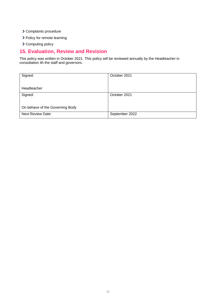- Complaints procedure
- > Policy for remote learning
- > Computing policy

# **15. Evaluation, Review and Revision**

This policy was written in October 2021. This policy will be reviewed annually by the Headteacher in consultation ith the staff and governors.

| Signed:                         | October 2021   |
|---------------------------------|----------------|
|                                 |                |
|                                 |                |
| Headteacher                     |                |
| Signed:                         | October 2021   |
|                                 |                |
|                                 |                |
| On behave of the Governing Body |                |
|                                 |                |
| <b>Next Review Date:</b>        | September 2022 |
|                                 |                |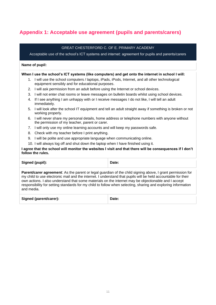# **Appendix 1: Acceptable use agreement (pupils and parents/carers)**

| GREAT CHESTERFORD C. OF E. PRIMARY ACADEMY                                                                                                                                                                                                                                                                                                                                                                                                                         |                                                                                                                                                       |                                                                                                  |  |  |
|--------------------------------------------------------------------------------------------------------------------------------------------------------------------------------------------------------------------------------------------------------------------------------------------------------------------------------------------------------------------------------------------------------------------------------------------------------------------|-------------------------------------------------------------------------------------------------------------------------------------------------------|--------------------------------------------------------------------------------------------------|--|--|
| Acceptable use of the school's ICT systems and internet: agreement for pupils and parents/carers                                                                                                                                                                                                                                                                                                                                                                   |                                                                                                                                                       |                                                                                                  |  |  |
| Name of pupil:                                                                                                                                                                                                                                                                                                                                                                                                                                                     |                                                                                                                                                       |                                                                                                  |  |  |
|                                                                                                                                                                                                                                                                                                                                                                                                                                                                    |                                                                                                                                                       | When I use the school's ICT systems (like computers) and get onto the internet in school I will: |  |  |
|                                                                                                                                                                                                                                                                                                                                                                                                                                                                    | 1. I will use the school computers / laptops, iPads, iPods, Internet, and all other technological<br>equipment sensibly and for educational purposes. |                                                                                                  |  |  |
|                                                                                                                                                                                                                                                                                                                                                                                                                                                                    | 2. I will ask permission from an adult before using the Internet or school devices.                                                                   |                                                                                                  |  |  |
| 3.                                                                                                                                                                                                                                                                                                                                                                                                                                                                 |                                                                                                                                                       | I will not enter chat rooms or leave messages on bulletin boards whilst using school devices.    |  |  |
| 4.                                                                                                                                                                                                                                                                                                                                                                                                                                                                 | If I see anything I am unhappy with or I receive messages I do not like, I will tell an adult<br>immediately.                                         |                                                                                                  |  |  |
| 5.                                                                                                                                                                                                                                                                                                                                                                                                                                                                 | I will look after the school IT equipment and tell an adult straight away if something is broken or not<br>working properly.                          |                                                                                                  |  |  |
| 6.                                                                                                                                                                                                                                                                                                                                                                                                                                                                 | I will never share my personal details, home address or telephone numbers with anyone without<br>the permission of my teacher, parent or carer.       |                                                                                                  |  |  |
| $7_{\scriptscriptstyle{\ddots}}$                                                                                                                                                                                                                                                                                                                                                                                                                                   | I will only use my online learning accounts and will keep my passwords safe.                                                                          |                                                                                                  |  |  |
| 8.                                                                                                                                                                                                                                                                                                                                                                                                                                                                 | Check with my teacher before I print anything.                                                                                                        |                                                                                                  |  |  |
| 9.                                                                                                                                                                                                                                                                                                                                                                                                                                                                 | I will be polite and use appropriate language when communicating online.                                                                              |                                                                                                  |  |  |
|                                                                                                                                                                                                                                                                                                                                                                                                                                                                    | 10. I will always log off and shut down the laptop when I have finished using it.                                                                     |                                                                                                  |  |  |
| I agree that the school will monitor the websites I visit and that there will be consequences if I don't<br>follow the rules.                                                                                                                                                                                                                                                                                                                                      |                                                                                                                                                       |                                                                                                  |  |  |
|                                                                                                                                                                                                                                                                                                                                                                                                                                                                    | Signed (pupil):                                                                                                                                       | Date:                                                                                            |  |  |
| Parent/carer agreement: As the parent or legal guardian of the child signing above, I grant permission for<br>my child to use electronic mail and the internet. I understand that pupils will be held accountable for their<br>own actions. I also understand that some materials on the internet may be objectionable and I accept<br>responsibility for setting standards for my child to follow when selecting, sharing and exploring information<br>and media. |                                                                                                                                                       |                                                                                                  |  |  |

| <b>Signed (parent/carer):</b> | Date: |
|-------------------------------|-------|
|                               |       |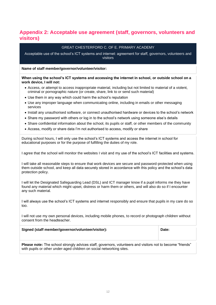# **Appendix 2: Acceptable use agreement (staff, governors, volunteers and visitors)**

#### GREAT CHESTERFORD C. OF E. PRIMARY ACADEMY

Acceptable use of the school's ICT systems and internet: agreement for staff, governors, volunteers and visitors

**Name of staff member/governor/volunteer/visitor:**

**When using the school's ICT systems and accessing the internet in school, or outside school on a work device, I will not:**

- Access, or attempt to access inappropriate material, including but not limited to material of a violent, criminal or pornographic nature (or create, share, link to or send such material)
- Use them in any way which could harm the school's reputation
- Use any improper language when communicating online, including in emails or other messaging services
- Install any unauthorised software, or connect unauthorised hardware or devices to the school's network
- Share my password with others or log in to the school's network using someone else's details
- Share confidential information about the school, its pupils or staff, or other members of the community
- Access, modify or share data I'm not authorised to access, modify or share

During school hours, I will only use the school's ICT systems and access the internet in school for educational purposes or for the purpose of fulfilling the duties of my role.

I agree that the school will monitor the websites I visit and my use of the school's ICT facilities and systems.

I will take all reasonable steps to ensure that work devices are secure and password-protected when using them outside school, and keep all data securely stored in accordance with this policy and the school's data protection policy.

I will let the Designated Safeguarding Lead (DSL) and ICT manager know if a pupil informs me they have found any material which might upset, distress or harm them or others, and will also do so if I encounter any such material.

I will always use the school's ICT systems and internet responsibly and ensure that pupils in my care do so too.

I will not use my own personal devices, including mobile phones, to record or photograph children without consent from the headteacher.

| Signed (staff member/governor/volunteer/visitor): | Date: |
|---------------------------------------------------|-------|
|                                                   |       |

**Please note:** The school strongly advices staff, governors, volunteers and visitors not to become "friends" with pupils or other under-aged children on social networking sites.